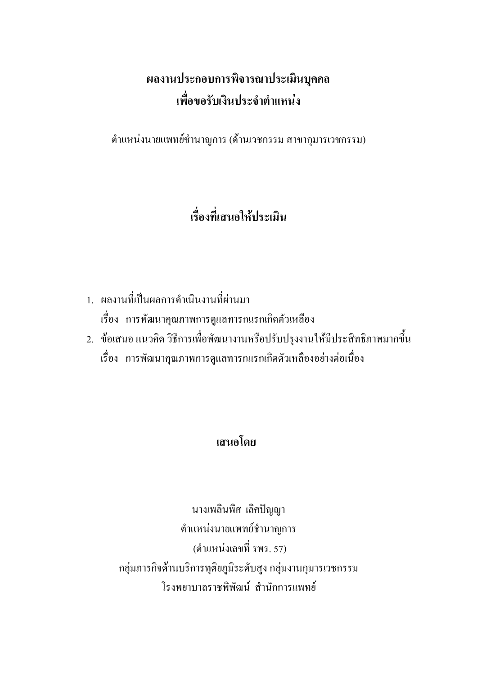# ผลงานประกอบการพิจารณาประเมินบุคคล ้เพื่อขอรับเงินประจำตำแหน่ง

ตำแหน่งนายแพทย์ชำนาญการ (ด้านเวชกรรม สาขากุมารเวชกรรม)

# เรื่องที่เสนอให้ประเมิน

- 1. ผลงานที่เป็นผลการดำเนินงานที่ผ่านมา เรื่อง การพัฒนาคุณภาพการดูแลทารกแรกเกิดตัวเหลือง
- ่ 2. ข้อเสนอ แนวคิด วิธีการเพื่อพัฒนางานหรือปรับปรุงงานให้มีประสิทธิภาพมากขึ้น ้เรื่อง การพัฒนาคุณภาพการดูแลทารกแรกเกิดตัวเหลืองอย่างต่อเนื่อง

## เสนอโดย

นางเพลินพิศ เลิศปัญญา ตำแหน่งนายแพทย์ชำนาญการ (ตำแหน่งเลขที่ รพร. 57) ึกลุ่มภารกิจค้านบริการทุติยภูมิระคับสูง กลุ่มงานกุมารเวชกรรม โรงพยาบาลราชพิพัฒบ์ สำบักการแพทย์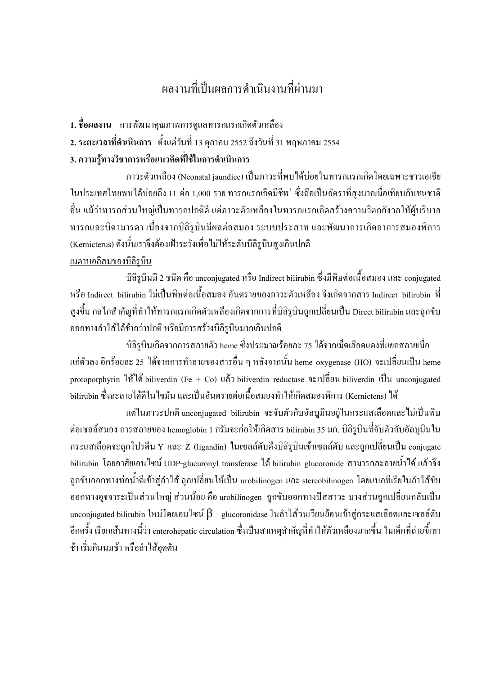# ผลงานที่เป็นผลการดำเนินงานที่ผ่านมา

- <mark>1. ชื่อผลงาน</mark> การพัฒนาคุณภาพการดูแลทารกแรกเกิดตัวเหลือง
- **2. ระยะเวลาที่ดำเนินการ** ตั้งแต่วันที่ 13 ตุลาคม 2552 ถึงวันที่ 31 พฤษภาคม 2554

#### 3. ความรู้ทางวิชาการหรือแนวคิดที่ใช้ในการดำเนินการ

ภาวะตัวเหลือง (Neonatal jaundice) เป็นภาวะที่พบใค้บ่อยในทารกแรกเกิดโคยเฉพาะชาวเอเชีย ในประเทศไทยพบได้บ่อยถึง 11 ต่อ 1,000 ราย ทารกแรกเกิดมีชีพ<sup>เ</sup> ซึ่งถือเป็นอัตราที่สูงมากเมื่อเทียบกับชนชาติ อื่น แม้ว่าทารกส่วนใหญ่เป็นทารกปกติดี แต่ภาวะตัวเหลืองในทารกแรกเกิดสร้างความวิตกกังวลให้ผู้บริบาล ทารกและบิดามารดา เนื่องจากบิลิรูบินมีผลต่อสมอง ระบบประสาท และพัฒนาการเกิดอาการสมองพิการ (Kernicterus) ดังนั้นเราจึงต้องเฝ้าระวังเพื่อไม่ให้ระดับบิลิรูบินสูงเกินปกติ <u>เมตาบอลิสมของบิลิรูบิน</u>

บิลิรูบินมี 2 ชนิด คือ unconjugated หรือ Indirect bilirubin ซึ่งมีพิษต่อเนื้อสมอง และ conjugated หรือ Indirect bilirubin ใม่เป็นพิษต่อเนื้อสมอง อันตรายของภาวะตัวเหลือง จึงเกิดจากสาร Indirect bilirubin ที่ สูงขึ้น กลไกสำคัญที่ทำให้ทารกแรกเกิดตัวเหลืองเกิดจากการที่บิลิรูบินถูกเปลี่ยนเป็น Direct bilirubin และถูกขับ ออกทางลำไส้ได้ช้ากว่าปกติ หรือมีการสร้างบิลิรูบินมากเกินปกติ

บิลิรูบินเกิดจากการสลายตัว heme ซึ่งประมาณร้อยละ 75 ได้จากเม็ดเลือดแดงที่แยกสลายเมื่อ แก่ตัวลง อีกร้อยละ 25 ใด้จากการทำลายของสารอื่น ๆ หลังจากนั้น heme oxygenase (HO) จะเปลี่ยนเป็น heme protoporphyrin ให้ได้ biliverdin (Fe + Co) แล้ว biliverdin reductase จะเปลี่ยน biliverdin เป็น unconjugated bilirubin ซึ่งละลายใด้ดีในไขมัน และเป็นอันตรายต่อเนื้อสมองทำให้เกิดสมองพิการ (Kernictens) ใด้

แต่ในภาวะปกติ unconjugated bilirubin จะจับตัวกับอัลบูมินอยู่ในกระแสเลือดและไม่เป็นพิษ ต่อเซลล์สมอง การสลายของ hemoglobin 1 กรัมจะก่อให้เกิดสาร bilirubin 35 มก. บิลิรูบินที่จับตัวกับอัลบูมินใน กระแสเลือดจะถูกโปรตีน Y และ Z (ligandin) ในเซลล์ตับดึงบิลิรูบินเข้าเซลล์ตับ และถูกเปลี่ยนเป็น conjugate bilirubin โดยอาศัยเอนใซม์ UDP-glucuronyl transferase ใด้ bilirubin glucoronide สามารถละลายน้ำได้ แล้วจึง ถูกขับออกทางท่อน้ำดีเข้าสู่ลำใส้ ถูกเปลี่ยนให้เป็น urobilinogen และ stercobilinogen โดยแบคทีเรียในลำใส้ขับ ออกทางอุจจาระเป็นส่วนใหญ่ ส่วนน้อย คือ urobilinogen ถูกขับออกทางปัสสาวะ บางส่วนถูกเปลี่ยนกลับเป็น unconjugated bilirubin ใหม่ โดยเอม ไซน์  $\beta$  – glucoronidase ในลำ ไส้วนเวียนย้อนเข้าสู่กระแสเลือดและเซลล์ตับ อีกครั้ง เรียกเส้นทางนี้ว่า enterohepatic circulation ซึ่งเป็นสาเหตุสำคัญที่ทำให้ตัวเหลืองมากขึ้น ในเด็กที่ถ่ายขี้เทา ช้า เริ่มกินนมช้า หรือลำไส้อุคตัน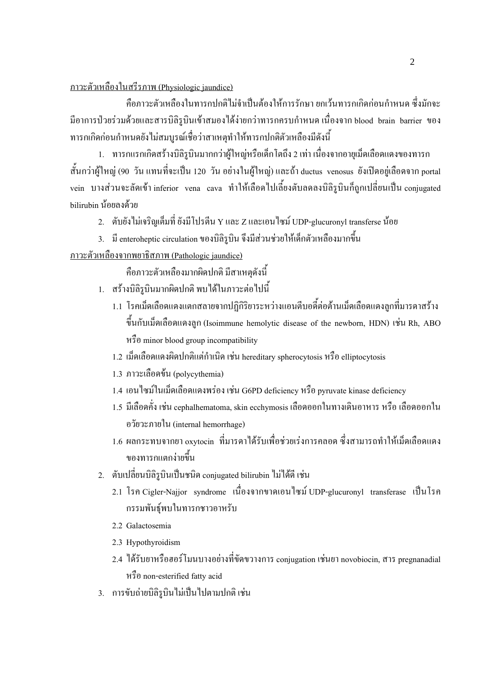<u>ภาวะตัวเหลืองในสรีรภาพ (Physiologic jaundice)</u>

กือภาวะตัวเหลืองในทารกปกติใม่จำเป็นต้องให้การรักษา ยกเว้นทารกเกิดก่อนกำหนด ซึ่งมักจะ มือาการป่วยร่วมด้วยและสารบิลิรูบินเข้าสมองได้ง่ายกว่าทารกครบกำหนด เนื่องจาก blood brain barrier ของ ทารกเกิดก่อนกำหนดยังไม่สมบูรณ์เชื่อว่าสาเหตุทำให้ทารกปกติตัวเหลืองมีดังนี้

1. ทารกแรกเกิดสร้างบิลิรูบินมากกว่าผู้ใหญ่หรือเด็กโตถึง 2 เท่า เนื่องจากอายุเม็ดเลือดแดงของทารก สั้นกว่าผู้ใหญ่ (90 วัน แทนที่จะเป็น 120 วัน อย่างในผู้ใหญ่) และถ้า ductus venosus ยังเปิดอยู่เลือดจาก portal vein บางส่วนจะลัดเข้า inferior vena cava ทำให้เลือดไปเลี้ยงตับลดลงบิลิรูบินกี้ถูกเปลี่ยนเป็น conjugated bilirubin น้อยลงด้วย

2. ตับยังไม่เจริญเต็มที่ ยังมีโปรตีน Y และ Z และเอนไซม์ UDP-glucuronyl transferse น้อย

3. มี enteroheptic circulation ของบิลิรูบิน จึงมีส่วนช่วยให้เด็กตัวเหลืองมากขึ้น

<u>ภาวะตัวเหลืองจากพยาธิสภาพ (Pathologic jaundice)</u>

กืือภาวะตัวเหลืองมากผิดปกติ มีสาเหตุดังนี้

- 1. สร้างบิลิรูบินมากผิดปกติ พบได้ในภาวะต่อไปนี้
	- 1.1 โรคเม็ดเลือดแดงแตกสลายจากปฏิกิริยาระหว่างแอนตีบอดี้ต่อต้านเม็ดเลือดแดงลูกที่มารดาสร้าง ขึ้นกับเม็ดเลือดแดงถูก (Isoimmune hemolytic disease of the newborn, HDN) เช่น Rh, ABO ! minor blood group incompatibility
	- 1.2 เมื่ดเลือดแดงผิดปกติแต่กำเนิด เช่น hereditary spherocytosis หรือ elliptocytosis
	- 1.3 ภาวะเลือดข้น (polycythemia)
	- 1.4 เอน ใซม์ในเม็ดเลือดแดงพร่อง เช่น G6PD deficiency หรือ pyruvate kinase deficiency
	- 1.5 มีเลือดคั่ง เช่น cephalhematoma, skin ecchymosis เลือดออกในทางเดินอาหาร หรือ เลือดออกใน อวัยวะภายใน (internal hemorrhage)
	- 1.6 ผลกระทบจากยา <sub>oxytocin</sub> ที่มารดาใด้รับเพื่อช่วยเร่งการคลอด ซึ่งสามารถทำให้เม็ดเลือดแดง ่ ของทารกแตกง่ายขึ้น
- 2. ตับเปลี่ยนบิลิรูบินเป็นชนิด conjugated bilirubin ไม่ได้ดี เช่น
	- 2.1 โรค Cigler-Najjor syndrome เนื่องจากขาดเอนใซม์ UDP-glucuronyl transferase เป็นโรค ึกรรมพันธ์พบในทารกชาวอาหรับ
	- 2.2 Galactosemia
	- 2.3 Hypothyroidism
	- 2.4 ใด้รับยาหรือฮอร์โมนบางอย่างที่ขัดขวางการ conjugation เช่นยา novobiocin, สาร pregnanadial ! non-esterified fatty acid
- 3. การขับถ่ายบิลิรูบินไม่เป็นไปตามปกติ เช่น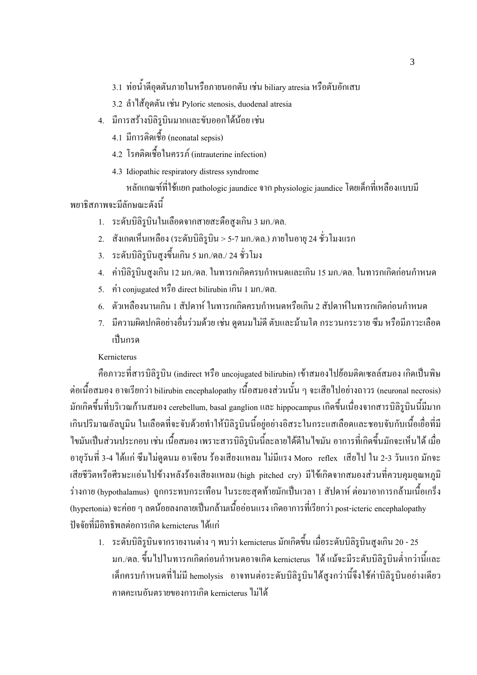3.1 ท่อน้ำคือคตันภายในหรือภายนอกตับ เช่น biliary atresia หรือตับอักเสบ

- 3.2 ถ้าไส้้อุดตัน เช่น Pyloric stenosis, duodenal atresia
- 4. มีการสร้างบิลิรูบินมากและขับออกได้น้อย เช่น
	- 4.1 มีการติดเชื้อ (neonatal sepsis)
	- 4.2 โรคติดเชื้อในครรภ์ (intrauterine infection)
	- 4.3 Idiopathic respiratory distress syndrome

หลักเกณฑ์ที่ใช้แยก pathologic jaundice จาก physiologic jaundice โดยเด็กที่เหลืองแบบมี พยาธิสภาพจะมีลักษณะคังนี้

- 1. ระดับบิลิรูบินในเลือดจากสายสะดือสูงเกิน 3 มก./ดล.
- 2. สังเกตเห็นเหลือง (ระดับบิลิรูบิน > 5-7 มก./คล.) ภายในอายุ 24 ชั่วโมงแรก
- 3. ระดับบิลิรูบินสูงขึ้นเกิน 5 มก./ดล./ 24 ชั่วโมง
- 4. ค่าบิลิรูบินสูงเกิน 12 มก./คล. ในทารกเกิดครบกำหนดและเกิน 15 มก./คล. ในทารกเกิดก่อนกำหนด
- 5. ค่ำ conjugated หรืือ direct bilirubin เกิน 1 มก./คล.
- 6. ตัวเหลืองนานเกิน 1 สัปดาห์ ในทารกเกิดครบกำหนดหรือเกิน 2 สัปดาห์ในทารกเกิดก่อนกำหนด
- 7. มีความผิดปกติอย่างอื่นร่วมด้วย เช่น ดูดนมไม่ดี ตับและม้ามโต กระวนกระวาย ซึม หรือมีภาวะเลือด เป็นกรด

#### Kernicterus

คือภาวะที่สารบิลิรูบิน (indirect หรือ uncojugated bilirubin) เข้าสมองไปย้อมติดเซลล์สมอง เกิดเป็นพิษ ต่อเนื้อสมอง อาจเรียกว่า bilirubin encephalopathy เนื้อสมองส่วนนั้น ๆ จะเสียไปอย่างถาวร (neuronal necrosis) -มักเกิดขึ้นที่บริเวณก้านสมอง cerebellum, basal ganglion และ hippocampus เกิดขึ้นเนื่องจากสารบิลิรูบินนี้มีมาก เกินปริมาณอัลบูมิน ในเลือคที่จะจับค้วยทำให้บิลิรูบินนี้อยู่อย่างอิสระในกระแสเลือคและชอบจับกับเนื้อเยื่อที่มี ไขมันเป็นส่วนประกอบ เช่น เนื้อสมอง เพราะสารบิลิรูบินนี้ละลายได้ดีในไขมัน อาการที่เกิดขึ้นมักจะเห็นได้ เมื่อ อายุวันที่ 3-4 ได้แก่ ซึมไม่ดูคนม อาเจียน ร้องเสียงแหลม ไม่มีแรง Moro reflex เสียไป ใน 2-3 วันแรก มักจะ เสียชีวิตหรือศีรษะแอ่นไปข้างหลังร้องเสียงแหลม (high pitched cry) มีไข้เกิดจากสมองส่วนที่ควบคุมอุณหภูมิ ร่างกาย (hypothalamus) ถูกกระทบกระเทือน ในระยะสุดท้ายมักเป็นเวลา 1 สัปดาห์ ต่อมาอาการกล้ามเนื้อเกร็ง (hypertonia) จะก่อย ๆ ลดน้อยลงกลายเป็นกล้ามเนื้ออ่อนแรง เกิดอาการที่เรียกว่า post-icteric encephalopathy ปัจจัยที่มีอิทธิพลต่อการเกิด kernicterus ใด้แก่

1. ระดับบิลิรูบินจากรายงานต่าง ๆ พบว่า kernicterus มักเกิดขึ้น เมื่อระดับบิลิรูบินสูงเกิน 20 - 25 มก./คล. ขึ้นไปในทารกเกิดก่อนกำหนดอาจเกิด kernicterus ได้ แม้จะมีระดับบิลิรูบินต่ำกว่านี้และ เด็กครบกำหนดที่ไม่มี hemolysis อาจทนต่อระดับบิลิรูบินได้สูงกว่านี้จึงใช้ค่าบิลิรูบินอย่างเดียว ิ กาดคะเนอันตรายของการเกิด kernicterus ไม่ได้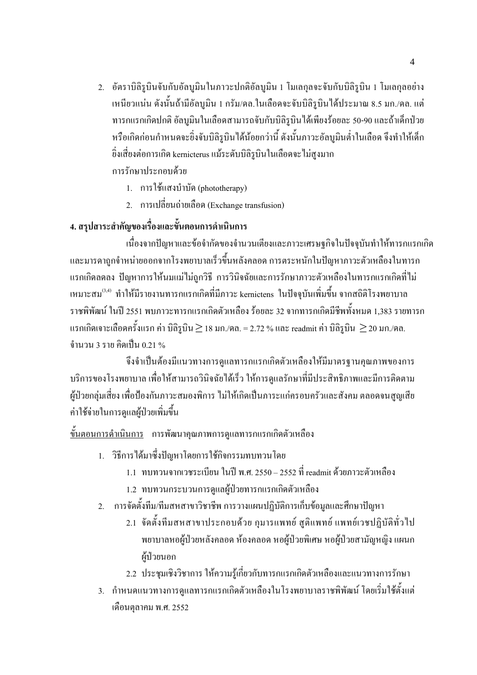- 2. อัตราบิลิรูบินจับกับอัลบูมินในภาวะปกติอัลบูมิน 1 โมเลกุลจะจับกับบิลิรูบิน 1 โมเลกุลอย่าง เหนียวแน่น ดังนั้นถ้ามีอัลบูมิน 1 กรัม/ดล.ในเลือดจะจับบิลิรูบินได้ประมาณ 8.5 มก./ดล. แต่ ทารกแรกเกิดปกติ อัลบูมินในเลือดสามารถจับกับบิลิรูบินได้เพียงร้อยละ 50-90 และถ้าเด็กป่วย หรือเกิดก่อนกำหนดจะขิ่งจับบิลิรบินได้น้อยกว่านี้ ดังนั้นภาวะอัลบมินต่ำในเลือด จึงทำให้เด็ก ี่ ยิ่งเสี่ยงต่อการเกิด kernicterus แม้ระดับบิลิรูบินในเลือดจะไม่สูงมาก การรักษาประกอบด้วย
	- 1. การใช้แสงบำบัด (phototherapy)
	- 2. การเปลี่ยนถ่ายเลือด (Exchange transfusion)

## 4. สรุปสาระสำคัญของเรื่องและขั้นตอนการดำเนินการ

้เนื่องจากปัญหาและข้อจำกัดของจำนวนเตียงและภาวะเศรษฐกิจในปัจจุบันทำให้ทารกแรกเกิด และมารดาถูกจำหน่ายออกจากโรงพยาบาลเร็วขึ้นหลังคลอด การตระหนักในปัญหาภาวะตัวเหลืองในทารก ี แรกเกิดลดลง ปัญหาการให้นมแม่ไม่ถูกวิธี การวินิจฉัยและการรักษาภาวะตัวเหลืองในทารกแรกเกิดที่ไม่ เหมาะสม<sup>(3,4)</sup> ทำให้มีรายงานทารกแรกเกิดที่มีภาวะ kernictens ในปัจจบันเพิ่มขึ้น จากสถิติโรงพยาบาล ราชพิพัฒน์ ในปี 2551 พบภาวะทารกแรกเกิดตัวเหลือง ร้อยละ 32 จากทารกเกิดมีชีพทั้งหมด 1,383 รายทารก แรกเกิดเจาะเลือดครั้งแรก ค่า บิลิรูบิน  $\geq$  18 มก./คล. = 2.72 % และ readmit ค่า บิลิรูบิน  $\,\geq$  20 มก./คล. <u>จำนวน 3 ราย คิดเป็น 0.21 %</u>

จึงจำเป็นต้องมีแนวทางการดูแลทารกแรกเกิดตัวเหลืองให้มีมาตรฐานคุณภาพของการ บริการของโรงพยาบาล เพื่อให้สามารถวินิจฉัยได้เร็ว ให้การดูแลรักษาที่มีประสิทธิภาพและมีการติดตาม ผู้ป่วยกลุ่มเสี่ยง เพื่อป้องกันภาวะสมองพิการ ไม่ให้เกิดเป็นภาระแก่ครอบครัวและสังคม ตลอดจนสูญเสีย ค่าใช้จ่ายในการคแลผ้ป่วยเพิ่มขึ้น

<u>ขั้นตอนการคำเนินการ</u> การพัฒนาคุณภาพการคูแลทารกแรกเกิดตัวเหลือง

- 1. วิธีการได้มาซึ่งปัญหาโดยการใช้กิจกรรมทบทวนโดย
	- 1.1 ทบทวนจากเวชระเบียน ในปี พ.ศ. 2550 2552 ที่ readmit ด้วยภาวะตัวเหลือง
	- 1.2 ทบทวนกระบวนการดูแลผู้ป่วยทารกแรกเกิดตัวเหลือง
- 2. การจัดตั้งทีม/ทีมสหสาขาวิชาชีพ การวางแผนปฏิบัติการเก็บข้อมูลและศึกษาปัญหา
	- 2.1 จัดตั้งทีมสหสาขาประกอบด้วย กุมารแพทย์ สูติแพทย์ แพทย์เวชปฏิบัติทั่วไป พยาบาลหอผู้ป่วยหลังคลอด ห้องคลอด หอผู้ป่วยพิเศษ หอผู้ป่วยสามัญหญิง แผนก ผู้ป่วยนอก
	- 2.2 ประชุมเชิงวิชาการ ให้ความรู้เกี่ยวกับทารกแรกเกิดตัวเหลืองและแนวทางการรักษา
- 3. กำหนดแนวทางการดูแลทารกแรกเกิดตัวเหลืองในโรงพยาบาลราชพิพัฒน์ โดยเริ่มใช้ตั้งแต่ เคือนตุลาคม พ.ศ. 2552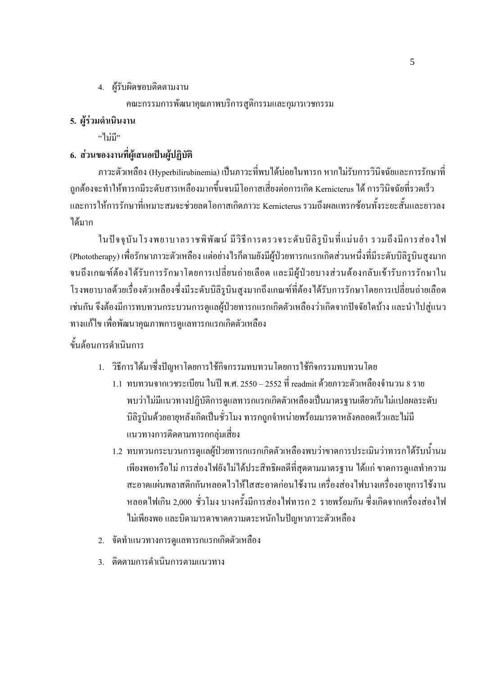4. ผู้รับผิดชอบติดตามงาน

คณะกรรมการพัฒนาคุณภาพบริการสูติกรรมและกุมารเวชกรรม

## 5. ผ้ร่วมดำเนินงาน

 $\mathbf{u}^{\mathbf{u}}$   $\mathbf{u}$   $\mathbf{u}$   $\mathbf{v}$ 

## 6. ส่วนของงานที่ผู้เสนอเป็นผู้ปฏิบัติ

ิภาวะตัวเหลือง (Hyperbilirubinemia) เป็นภาวะที่พบได้บ่อยในทารก หากไม่รับการวินิจฉัยและการรักษาที่ ิถกต้องจะทำให้ทารกมีระดับสารเหลืองมากขึ้นจนมีโอกาสเสี่ยงต่อการเกิด Kernicterus ได้ การวินิจฉัยที่รวดเร็ว และการให้การรักษาที่เหมาะสมจะช่วยลดโอกาสเกิดภาวะ Kernicterus รวมถึงผลแทรกซ้อนทั้งระยะสั้นและยาวลง ได้มาก

ในปัจจุบันโรงพยาบาลราชพิพัฒน์ มีวิธีการตรวจระดับบิลิรูบินที่แม่นยำ รวมถึงมีการส่องไฟ (Phototherapy) เพื่อรักษาภาวะตัวเหลือง แต่อย่างไรก็ตามยังมีผู้ป่วยทารกแรกเกิดส่วนหนึ่งที่มีระดับบิลิรูบินสูงมาก ึ่งนถึงเกณฑ์ด้องใด้รับการรักษาโดยการเปลี่ยนถ่ายเลือด และมีผู้ป่วยบางส่วนต้องกลับเข้ารับการรักษาใน โรงพยาบาลด้วยเรื่องตัวเหลืองซึ่งมีระดับบิลิรูบินสูงมากถึงเกณฑ์ที่ต้องได้รับการรักษาโดยการเปลี่ยนถ่ายเลือด ้เช่นกัน จึงต้องมีการทบทวนกระบวนการดูแลผู้ป่วยทารกแรกเกิดตัวเหลืองว่าเกิดจากปัจจัยใดบ้าง และนำไปสู่แนว ทางแก้ไข เพื่อพัฒนาคุณภาพการดูแลทารกแรกเกิดตัวเหลือง

## ขั้นต้อนการดำเนินการ

- 1. วิธีการใด้มาซึ่งปัญหาโดยการใช้กิจกรรมทบทวนโดยการใช้กิจกรรมทบทวนโดย
	- 1.1 ทบทวนจากเวชระเบียน ในปี พ.ศ. 2550 2552 ที่ readmit ด้วยภาวะตัวเหลืองจำนวน 8 ราย พบว่าไม่มีแนวทางปฏิบัติการดูแลทารกแรกเกิดตัวเหลืองเป็นมาตรฐานเดียวกันไม่แปลผลระดับ ้บิลิรูบินด้วยอายุหลังเกิดเป็นชั่วโมง ทารกถูกจำหน่ายพร้อมมารดาหลังคลอดเร็วและไม่มี <u>แนวทางการติดตามทารกกล่มเสี่ยง</u>
	- 1.2 ทบทวนกระบวนการดูแลผู้ป่วยทารกแรกเกิดตัวเหลืองพบว่าขาดการประเมินว่าทารกได้รับน้ำนม ้ เพียงพอหรือ ไม่ การส่องไฟยังไม่ได้ประสิทธิผลดีที่สุดตามมาตรฐาน ได้แก่ ขาดการดูแลทำความ ิสะอาดแผ่นพลาสติกกันหลอดไวให้ใสสะอาดก่อนใช้งาน เครื่องส่องไฟบางเครื่องอายุการใช้งาน หลอดไฟเกิน 2,000 ชั่วโมง บางครั้งมีการส่องไฟทารก 2 รายพร้อมกัน ซึ่งเกิดจากเครื่องส่องไฟ ไม่เพียงพอ และบิดามารดาขาดความตระหนักในปัญหาภาวะตัวเหลือง
- 2. จัดทำแนวทางการดูแลทารกแรกเกิดตัวเหลือง
- 3 ติดตามการดำเบินการตามแบวทาง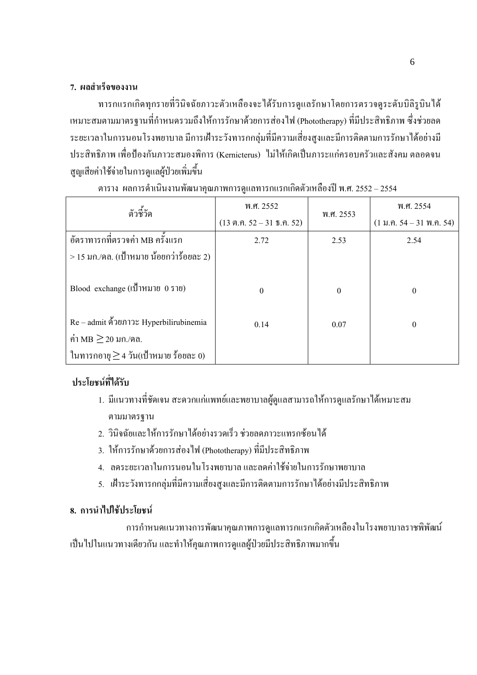#### 7. ผลสำเร็จของงาน

ทารกแรกเกิดทุกรายที่วินิจฉัยภาวะตัวเหลืองจะใด้รับการดูแลรักษาโดยการตรวจดูระดับบิลิรูบินใด้ เหมาะสมตามมาตรฐานที่กำหนดรวมถึงให้การรักษาด้วยการส่องไฟ (Phototherapy) ที่มีประสิทธิภาพ ซึ่งช่วยลด ระยะเวลาในการนอนโรงพยาบาล มีการเฝ้าระวังทารกกลุ่มที่มีความเสี่ยงสูงและมีการติดตามการรักษาได้อย่างมี ประสิทธิภาพ เพื่อป้องกันภาวะสมองพิการ (Kernicterus) "ไม่ให้เกิดเป็นภาระแก่ครอบครัวและสังคม ตลอดจน สูญเสียค่าใช้จ่ายในการดูแลผู้ป่วยเพิ่มขึ้น

| ตัวชี้วัด                                  | พ.ศ. 2552                     | พ.ศ. 2553        | พ.ศ. 2554                                                        |
|--------------------------------------------|-------------------------------|------------------|------------------------------------------------------------------|
|                                            | $(13 \n9.9.52 - 31 \n5.9.52)$ |                  | $(1 \text{ W}.\hat{P}.\hat{54} - 31 \text{ W}.\hat{P}.\hat{54})$ |
| ้อัตราทารกที่ตรวจค่า MB ครั้งแรก           | 2.72                          | 2.53             | 2.54                                                             |
| $>$ 15 มก./คล. (เป้าหมาย น้อยกว่าร้อยละ 2) |                               |                  |                                                                  |
| Blood exchange $($ เป้าหมาย $($ ราย $)$    | $\Omega$                      | $\boldsymbol{0}$ | $\theta$                                                         |
| Re – admit คั่วยภาวะ Hyperbilirubinemia    | 0.14                          | 0.07             | $\boldsymbol{0}$                                                 |
| ค่า MB $\geq$ 20 มก./คล.                   |                               |                  |                                                                  |
| ในทารกอายุ $\geq$ 4 วัน(เป้าหมาย ร้อยละ 0) |                               |                  |                                                                  |

ตาราง ผลการคำเนินงานพัฒนาคุณภาพการดูแลทารกแรกเกิดตัวเหลืองปี พ.ศ. 2552 – 2554

## ้<sup></sup> ประโยชน์ที่ได้รับ

- 1. มีแนวทางที่ชัดเจน สะดวกแก่แพทย์และพยาบาลผู้ดูแลสามารถให้การดูแลรักษาได้เหมาะสม ตามมาตรฐาน
- 2. วินิจฉัยและให้การรักษาได้อย่างรวดเร็ว ช่วยลดภาวะแทรกซ้อนได้
- 3. ให้การรักษาด้วยการส่องไฟ (Phototherapy) ที่มีประสิทธิภาพ
- 4. ลดระยะเวลาในการนอนในโรงพยาบาลและลดค่าใช้จ่ายในการรักษาพยาบาล
- 5. เฝ้าระวังทารกกลุ่มที่มีความเสี่ยงสูงและมีการติดตามการรักษาใด้อย่างมีประสิทธิภาพ

### 8. การนำไปใช้ประโยชน์

การกำหนดแนวทางการพัฒนาคุณภาพการดูแลทารกแรกเกิดตัวเหลืองในโรงพยาบาลราชพิพัฒน์ เป็นไปในแนวทางเดียวกัน และทำให้คุณภาพการดูแลผู้ป่วยมีประสิทธิภาพมากขึ้น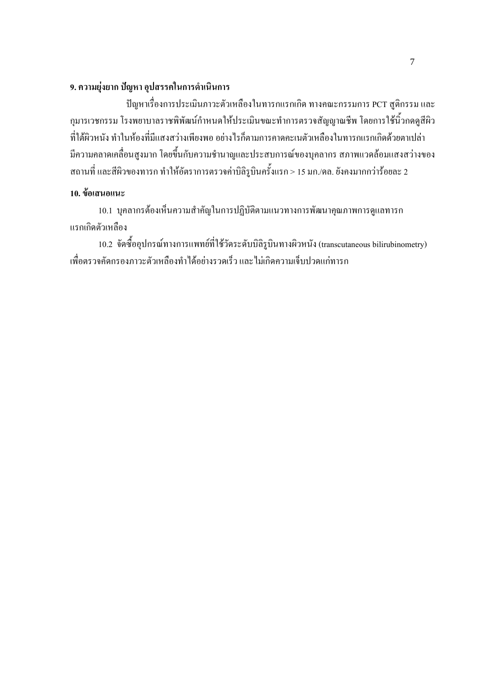#### 9. ความยุ่งยาก ปัญหา อุปสรรคในการดำเนินการ

ปัญหาเรื่องการประเมินภาวะตัวเหลืองในทารกแรกเกิด ทางคณะกรรมการ PCT สูติกรรม และ กุมารเวชกรรม โรงพยาบาลราชพิพัฒน์กำหนดให้ประเมินขณะทำการตรวจสัญญาณชีพ โดยการใช้นิ้วกดดูสีผิว ้ที่ใต้ผิวหนัง ทำในห้องที่มีแสงสว่างเพียงพอ อย่างไรก็ตามการคาดคะเนตัวเหลืองในทารกแรกเกิดด้วยตาเปล่า ้มีความคลาดเคลื่อนสูงมาก โดยขึ้นกับความชำนาญและประสบการณ์ของบุคลากร สภาพแวดล้อมแสงสว่างของ ี่ สถานที่ และสีผิวของทารก ทำให้อัตราการตรวจค่าบิลิรูบินครั้งแรก > 15 มก./คล. ยังคงมากกว่าร้อยละ 2

#### 10. ข้อเสนอแนะ

10.1 บุคลากรต้องเห็นความสำคัญในการปฏิบัติตามแนวทางการพัฒนาคุณภาพการดูแลทารก แรกเกิดตัวเหลือง

10.2 จัดซื้ออุปกรณ์ทางการแพทย์ที่ใช้วัดระดับบิลิรูบินทางผิวหนัง (transcutaneous bilirubinometry) ้เพื่อตรวจคัดกรองภาวะตัวเหลืองทำได้อย่างรวดเร็ว และไม่เกิดความเจ็บปวดแก่ทารก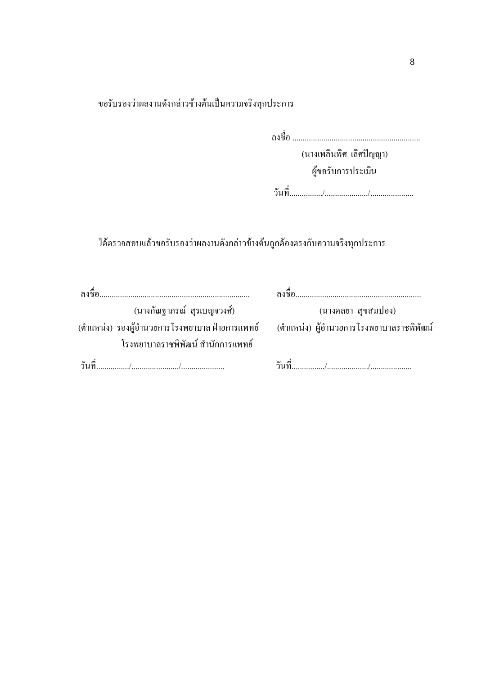ขอรับรองว่าผลงานดังกล่าวข้างต้นเป็นความจริงทุกประการ

(นางเพลินพิศ เลิศปัญญา)

ผู้ขอรับการประเมิน

ใค้ตรวจสอบแล้วขอรับรองว่าผลงานคังกล่าวข้างต้นถูกต้องตรงกับความจริงทุกประการ

| (นางกัณฐาภรณ์ สุรเบญจวงศ์)        | (นางคลยา สุขสมปอง)                                                                            |
|-----------------------------------|-----------------------------------------------------------------------------------------------|
|                                   | (ตำแหน่ง) รองผู้อำนวยการโรงพยาบาล ฝ่ายการแพทย์       (ตำแหน่ง) ผู้อำนวยการโรงพยาบาลราชพิพัฒน์ |
| โรงพยาบาลราชพิพัฒน์ สำนักการแพทย์ |                                                                                               |
|                                   |                                                                                               |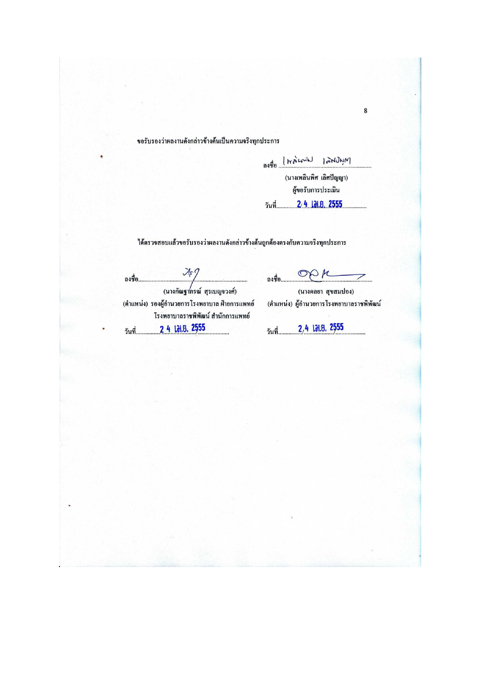#### ขอรับรองว่าผลงานดังกล่าวข้างต้นเป็นความจริงทุกประการ

Myrthdal Lanian toten

(นางเพลินพิศ เลิศปัญญา) ผู้ขอรับการประเมิน 

#### ใค้ตรวจสอบแล้วขอรับรองว่าผลงานคังกล่าวข้างต้นถูกต้องตรงกับความจริงทุกประการ

ถงชื่อ.. (ตำแหน่ง) รองผู้อำนวยการโรงพยาบาล ฝ่ายการแพทย์ โรงพยาบาลราชพิพัฒน์ สำนักการแพทย์ 2 4 17.8.2555 วันที่.

OPK ลงชื่อ.......

(นางคลยา สุขสมปอง) (ตำแหน่ง) ผู้อำนวยการโรงพยาบาลราชพิพัฒน์

2,4 131.8.2555 วันที่.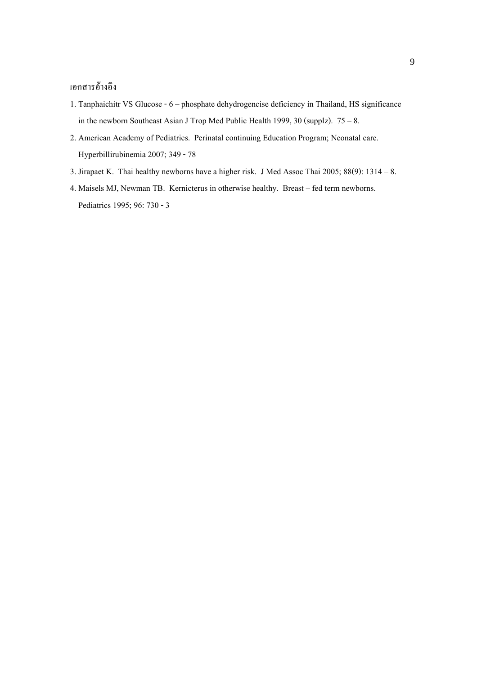### เอกสารอ้างอิง

- 1. Tanphaichitr VS Glucose 6 phosphate dehydrogencise deficiency in Thailand, HS significance in the newborn Southeast Asian J Trop Med Public Health 1999, 30 (supplz).  $75 - 8$ .
- 2. American Academy of Pediatrics. Perinatal continuing Education Program; Neonatal care. Hyperbillirubinemia 2007; 349 - 78
- 3. Jirapaet K. Thai healthy newborns have a higher risk. J Med Assoc Thai  $2005$ ;  $88(9)$ :  $1314 8$ .
- 4. Maisels MJ, Newman TB. Kernicterus in otherwise healthy. Breast fed term newborns. Pediatrics 1995; 96: 730 - 3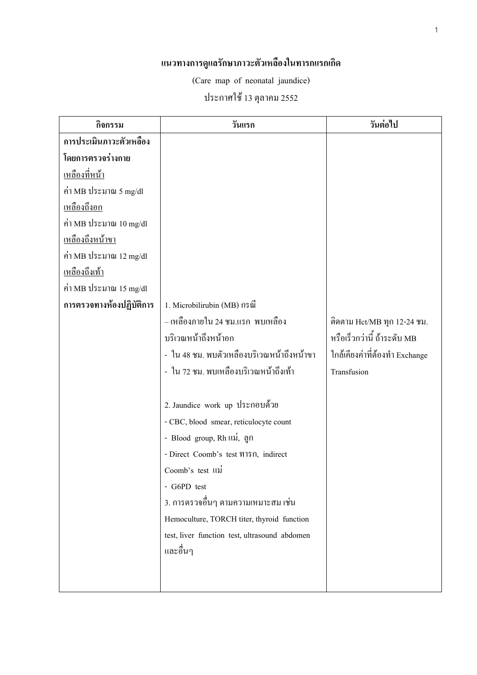#### แนวทางการดูแลรักษาภาวะตัวเหลืองในทารกแรกเกิด

(Care map of neonatal jaundice)

## ประกาศใช้ 13 ตุลาคม 2552

| กิจกรรม                          | วันแรก                                        | วันต่อไป                       |
|----------------------------------|-----------------------------------------------|--------------------------------|
| การประเมินภาวะตัวเหลือง          |                                               |                                |
| โดยการตรวจร่างกาย                |                                               |                                |
| <u>เหลืองที่หน้า</u>             |                                               |                                |
| ค่า MB ประมาณ 5 mg/dl            |                                               |                                |
| <u>เหลืองถึงอก</u>               |                                               |                                |
| ค่า MB ประมาณ $10 \text{ mg/dl}$ |                                               |                                |
| <u>เหลืองถึงหน้าขา</u>           |                                               |                                |
| ค่า MB ประมาณ 12 mg/dl           |                                               |                                |
| <u>เหลืองถึงเท้า</u>             |                                               |                                |
| ค่า MB ประมาณ 15 mg/dl           |                                               |                                |
| การตรวจทางห้องปฏิบัติการ         | 1. Microbilirubin (MB) กรณี                   |                                |
|                                  | – เหลืองภายใน 24 ชม.แรก  พบเหลือง             | ติดตาม Hct/MB ทุก 12-24 ชม.    |
|                                  | บริเวณหน้าถึงหน้าอก                           | หรือเร็วกว่านี้ ถ้าระดับ MB    |
|                                  | - ใน 48 ชม. พบตัวเหลืองบริเวณหน้าถึงหน้าขา    | ใกล้เคียงค่าที่ต้องทำ Exchange |
|                                  | - ใน 72 ชม. พบเหลืองบริเวณหน้าถึงเท้า         | Transfusion                    |
|                                  |                                               |                                |
|                                  | 2. Jaundice work up ประกอบด้วย                |                                |
|                                  | - CBC, blood smear, reticulocyte count        |                                |
|                                  | - Blood group, Rh แม่, ลูก                    |                                |
|                                  | - Direct Coomb's test 11750, indirect         |                                |
|                                  | Coomb's test lill                             |                                |
|                                  | - G6PD test                                   |                                |
|                                  | 3. การตรวจอื่นๆ ตามความเหมาะสม เช่น           |                                |
|                                  | Hemoculture, TORCH titer, thyroid function    |                                |
|                                  | test, liver function test, ultrasound abdomen |                                |
|                                  | และอื่นๆ                                      |                                |
|                                  |                                               |                                |
|                                  |                                               |                                |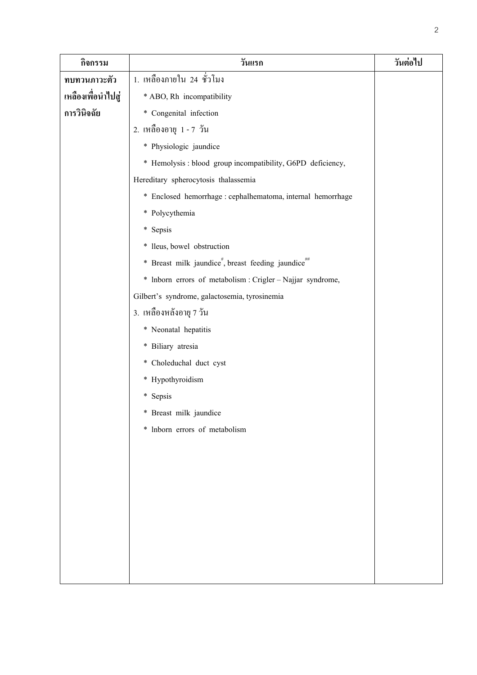| กิจกรรม            | วันแรก                                                                      | วันต่อไป |
|--------------------|-----------------------------------------------------------------------------|----------|
| ทบทวนภาวะตัว       | 1. เหลืองภายใน 24 ชั่วโมง                                                   |          |
| เหลืองเพื่อนำไปสู่ | * ABO, Rh incompatibility                                                   |          |
| การวินิจฉัย        | * Congenital infection                                                      |          |
|                    | 2. เหลืองอายุ 1 - 7 วัน                                                     |          |
|                    | * Physiologic jaundice                                                      |          |
|                    | * Hemolysis : blood group incompatibility, G6PD deficiency,                 |          |
|                    | Hereditary spherocytosis thalassemia                                        |          |
|                    | * Enclosed hemorrhage : cephalhematoma, internal hemorrhage                 |          |
|                    | * Polycythemia                                                              |          |
|                    | * Sepsis                                                                    |          |
|                    | * lleus, bowel obstruction                                                  |          |
|                    | * Breast milk jaundice <sup>#</sup> , breast feeding jaundice <sup>##</sup> |          |
|                    | * Inborn errors of metabolism : Crigler - Najjar syndrome,                  |          |
|                    | Gilbert's syndrome, galactosemia, tyrosinemia                               |          |
|                    | 3. เหลืองหลังอายุ 7 วัน                                                     |          |
|                    | * Neonatal hepatitis                                                        |          |
|                    | * Biliary atresia                                                           |          |
|                    | * Choleduchal duct cyst                                                     |          |
|                    | * Hypothyroidism                                                            |          |
|                    | * Sepsis                                                                    |          |
|                    | * Breast milk jaundice                                                      |          |
|                    | * Inborn errors of metabolism                                               |          |
|                    |                                                                             |          |
|                    |                                                                             |          |
|                    |                                                                             |          |
|                    |                                                                             |          |
|                    |                                                                             |          |
|                    |                                                                             |          |
|                    |                                                                             |          |
|                    |                                                                             |          |
|                    |                                                                             |          |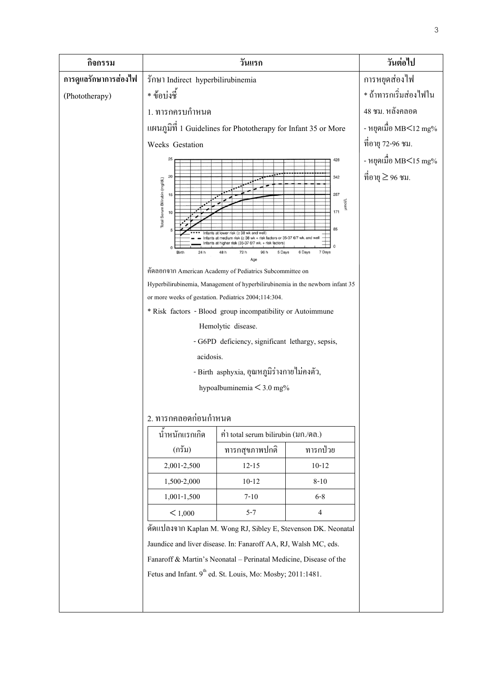| กิจกรรม               |                                                                                                                                                                                                                                                                                                                                                                                                                                                                                                                                                                                                                                                                                                                                                     | วันแรก                                                                 |                       | วันต่อไป               |
|-----------------------|-----------------------------------------------------------------------------------------------------------------------------------------------------------------------------------------------------------------------------------------------------------------------------------------------------------------------------------------------------------------------------------------------------------------------------------------------------------------------------------------------------------------------------------------------------------------------------------------------------------------------------------------------------------------------------------------------------------------------------------------------------|------------------------------------------------------------------------|-----------------------|------------------------|
| การดูแลรักษาการส่องไฟ | รักษา Indirect hyperbilirubinemia                                                                                                                                                                                                                                                                                                                                                                                                                                                                                                                                                                                                                                                                                                                   |                                                                        |                       | การหยุดส่องไฟ          |
| (Phototherapy)        | * ข้อบ่งชี้                                                                                                                                                                                                                                                                                                                                                                                                                                                                                                                                                                                                                                                                                                                                         |                                                                        |                       | * ถ้าทารกเริ่มส่องไฟใน |
|                       | 1. ทารกครบกำหนด                                                                                                                                                                                                                                                                                                                                                                                                                                                                                                                                                                                                                                                                                                                                     |                                                                        | 48 ชม. หลังคลอด       |                        |
|                       | แผนภูมิที่ 1 Guidelines for Phototherapy for Infant 35 or More                                                                                                                                                                                                                                                                                                                                                                                                                                                                                                                                                                                                                                                                                      |                                                                        | - หยุดเมื่อ MB<12 mg% |                        |
|                       | Weeks Gestation                                                                                                                                                                                                                                                                                                                                                                                                                                                                                                                                                                                                                                                                                                                                     |                                                                        |                       | ที่อายุ 72-96 ชม.      |
|                       | 25<br>428                                                                                                                                                                                                                                                                                                                                                                                                                                                                                                                                                                                                                                                                                                                                           |                                                                        |                       | - หยุดเมื่อ MB<15 mg%  |
|                       | 20<br>342<br>Total Serum Bilirubin (mg/dL)<br>257<br>15<br><b>Trumor</b><br>171<br>10<br>85<br>nfants at lower risk (≥ 38 wk and well)<br>Infants at medium risk (≥ 38 wk + risk factors or 35-37<br>nfants at higher risk (35-37 6/7 wk. + risk factors<br>7 Days<br>24h<br>48h<br>72 h<br>96 h<br>5 Days<br>6 Days<br><b>Birth</b><br>Age<br>คัดลอกจาก American Academy of Pediatrics Subcommittee on<br>Hyperbilirubinemia, Management of hyperbilirubinemia in the newborn infant 35<br>or more weeks of gestation. Pediatrics 2004;114:304.<br>* Risk factors - Blood group incompatibility or Autoimmune<br>Hemolytic disease.<br>- G6PD deficiency, significant lethargy, sepsis,<br>acidosis.<br>- Birth asphyxia, อุณหภูมิร่างกายไม่คงตัว, |                                                                        |                       | ที่อายุ ≥ 96 ชม.       |
|                       | hypoalbuminemia $<$ 3.0 mg%                                                                                                                                                                                                                                                                                                                                                                                                                                                                                                                                                                                                                                                                                                                         |                                                                        |                       |                        |
|                       | 2. ทารกคลอดก่อนกำหนด                                                                                                                                                                                                                                                                                                                                                                                                                                                                                                                                                                                                                                                                                                                                |                                                                        |                       |                        |
|                       | นำหนักแรกเกิด                                                                                                                                                                                                                                                                                                                                                                                                                                                                                                                                                                                                                                                                                                                                       | ค่ำ total serum bilirubin (มก./คล.)                                    |                       |                        |
|                       | (กรัม)                                                                                                                                                                                                                                                                                                                                                                                                                                                                                                                                                                                                                                                                                                                                              | ทารกสุขภาพปกติ                                                         | ทารกป่วย              |                        |
|                       | 2,001-2,500                                                                                                                                                                                                                                                                                                                                                                                                                                                                                                                                                                                                                                                                                                                                         | $12 - 15$                                                              | $10 - 12$             |                        |
|                       | 1,500-2,000                                                                                                                                                                                                                                                                                                                                                                                                                                                                                                                                                                                                                                                                                                                                         | $10 - 12$                                                              | $8 - 10$              |                        |
|                       | 1,001-1,500                                                                                                                                                                                                                                                                                                                                                                                                                                                                                                                                                                                                                                                                                                                                         | $7 - 10$                                                               | $6 - 8$               |                        |
|                       | < 1,000                                                                                                                                                                                                                                                                                                                                                                                                                                                                                                                                                                                                                                                                                                                                             | $5 - 7$                                                                | $\overline{4}$        |                        |
|                       | ดัดแปลงจาก Kaplan M. Wong RJ, Sibley E, Stevenson DK. Neonatal<br>Jaundice and liver disease. In: Fanaroff AA, RJ, Walsh MC, eds.                                                                                                                                                                                                                                                                                                                                                                                                                                                                                                                                                                                                                   |                                                                        |                       |                        |
|                       | Fanaroff & Martin's Neonatal - Perinatal Medicine, Disease of the                                                                                                                                                                                                                                                                                                                                                                                                                                                                                                                                                                                                                                                                                   |                                                                        |                       |                        |
|                       |                                                                                                                                                                                                                                                                                                                                                                                                                                                                                                                                                                                                                                                                                                                                                     | Fetus and Infant. 9 <sup>th</sup> ed. St. Louis, Mo: Mosby; 2011:1481. |                       |                        |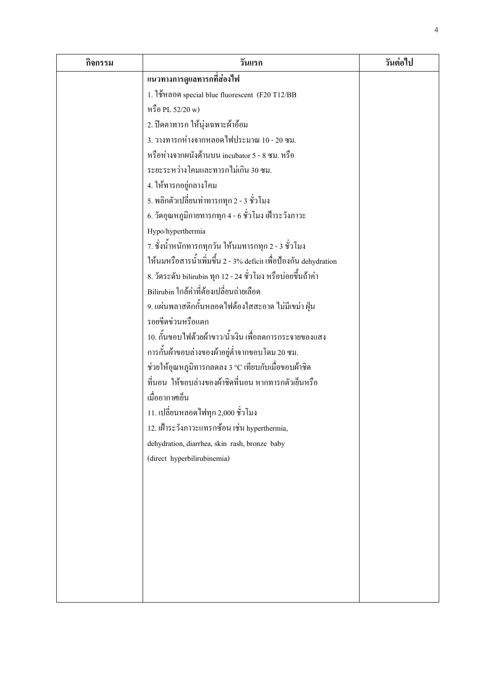| กิจกรรม | วันแรก                                                           | วันต่อไป |
|---------|------------------------------------------------------------------|----------|
|         | แนวทางการดูแลทารกที่ส่องไฟ                                       |          |
|         | 1. ใช้หลอด special blue fluorescent (F20 T12/BB                  |          |
|         | หรือ PL 52/20 w)                                                 |          |
|         | 2. ปิดตาทารก ให้นุ่งเฉพาะผ้าอ้อม                                 |          |
|         | 3. วางทารกห่างจากหลอดไฟประมาณ 10 - 20 ซม.                        |          |
|         | หรือห่างจากผนังด้านบน incubator 5 - 8 ซม. หรือ                   |          |
|         | ระยะระหว่างโคมและทารกไม่เกิน 30 ซม.                              |          |
|         | 4. ให้ทารกอยู่กลางโคม                                            |          |
|         | 5. พลิกตัวเปลี่ยนท่าทารกทุก 2 - 3 ชั่วโมง                        |          |
|         | 6. วัดอุณหภูมิกายทารกทุก 4 - 6 ชั่วโมง เฝ้าระวังภาวะ             |          |
|         | Hypo/hyperthermia                                                |          |
|         | 7. ชั่งน้ำหนักทารกทุกวัน ให้นมทารกทุก 2 - 3 ชั่วโมง              |          |
|         | ให้นมหรือสารน้ำเพิ่มขึ้น 2 - 3% deficit เพื่อป้องกัน dehydration |          |
|         | 8. วัคระดับ bilirubin ทุก 12 - 24 ชั่วโมง หรือบ่อยขึ้นถ้าค่า     |          |
|         | Bilirubin ใกล้ค่าที่ต้องเปลี่ยนถ่ายเลือด                         |          |
|         | 9. แผ่นพลาสติกกั้นหลอดไฟด้องใสสะอาด ไม่มีเขม่า ฝุ่น              |          |
|         | รอยขีดข่วนหรือแตก                                                |          |
|         | 10. กั้นขอบไฟด้วยผ้าขาว/น้ำเงิน เพื่อลดการกระจายของแสง           |          |
|         | ึการกั้นผ้าขอบล่างของผ้าอยู่ต่ำจากขอบโดม 20 ซม.                  |          |
|         | ช่วยให้อุณหภูมิทารกลคลง 3 °C เทียบกับเมื่อขอบผ้าชิค              |          |
|         | ที่นอน  ให้ขอบล่างของผ้าชิดที่นอน หากทารกตัวเข็นหรือ             |          |
|         | เมื่ออากาศเข็น                                                   |          |
|         | 11. เปลี่ยนหลอดไฟทุก 2,000 ชั่วโมง                               |          |
|         | 12. เฝ้าระวังภาวะแทรกซ้อน เช่น hyperthermia,                     |          |
|         | dehydration, diarrhea, skin rash, bronze baby                    |          |
|         | (direct hyperbilirubinemia)                                      |          |
|         |                                                                  |          |
|         |                                                                  |          |
|         |                                                                  |          |
|         |                                                                  |          |
|         |                                                                  |          |
|         |                                                                  |          |
|         |                                                                  |          |
|         |                                                                  |          |
|         |                                                                  |          |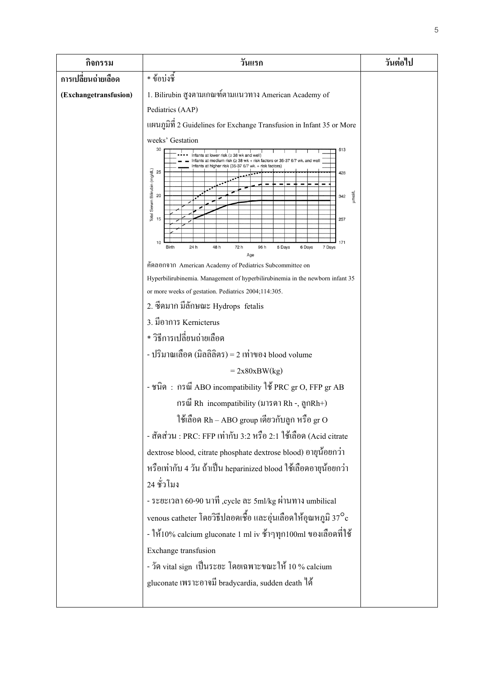| กิจกรรม               | วันแรก                                                                                                                                                                                                                                                                                                                                 | วันต่อไป |
|-----------------------|----------------------------------------------------------------------------------------------------------------------------------------------------------------------------------------------------------------------------------------------------------------------------------------------------------------------------------------|----------|
| การเปลี่ยนถ่ายเลือด   | * ข้อบ่งชี้                                                                                                                                                                                                                                                                                                                            |          |
| (Exchangetransfusion) | 1. Bilirubin สูงตามเกณฑ์ตามแนวทาง American Academy of<br>Pediatrics (AAP)                                                                                                                                                                                                                                                              |          |
|                       | แผนภูมิที่ 2 Guidelines for Exchange Transfusion in Infant 35 or More<br>weeks' Gestation<br>30<br>513<br>38 wk and well)<br>fants at medium risk (≥ 38 wk + risk factors or 35-37 6/7 wk. and well<br>its at higher risk (35-37 6/7<br>risk factors)<br>Total Serum Bilirubin (mg/dL)<br>25<br>428<br>Tuour<br>20<br>342<br>15<br>257 |          |
|                       | 171<br>10<br>24h<br>48 h<br>72 h<br><b>Birth</b><br>96 h<br>7 Days<br>5 Days<br>6 Days<br>Age<br>คัดลอกจาก American Academy of Pediatrics Subcommittee on<br>Hyperbilirubinemia. Management of hyperbilirubinemia in the newborn infant 35                                                                                             |          |
|                       | or more weeks of gestation. Pediatrics 2004;114:305.                                                                                                                                                                                                                                                                                   |          |
|                       | 2. ซีคมาก มีลักษณะ Hydrops fetalis                                                                                                                                                                                                                                                                                                     |          |
|                       | 3. มีอาการ Kernicterus                                                                                                                                                                                                                                                                                                                 |          |
|                       | * วิธีการเปลี่ยนถ่ายเลือด                                                                                                                                                                                                                                                                                                              |          |
|                       | - ปริมาณเลือด (มิลลิลิตร) = 2 เท่าของ blood volume                                                                                                                                                                                                                                                                                     |          |
|                       | $= 2x80xBW(kg)$                                                                                                                                                                                                                                                                                                                        |          |
|                       | - ชนิด: กรณี ABO incompatibility ใช้ PRC gr O, FFP gr AB                                                                                                                                                                                                                                                                               |          |
|                       | กรณี Rh incompatibility (มารดา Rh -, ถูกRh+)                                                                                                                                                                                                                                                                                           |          |
|                       | ใช้เลือด Rh – ABO group เดียวกับลูก หรือ gr O                                                                                                                                                                                                                                                                                          |          |
|                       | - สัดส่วน : PRC: FFP เท่ากับ 3:2 หรือ 2:1 ใช้เลือด (Acid citrate                                                                                                                                                                                                                                                                       |          |
|                       | dextrose blood, citrate phosphate dextrose blood) อายุน้อยกว่า                                                                                                                                                                                                                                                                         |          |
|                       | หรือเท่ากับ 4 วัน ถ้าเป็น heparinized blood ใช้เลือดอายุน้อยกว่า                                                                                                                                                                                                                                                                       |          |
|                       | 24 ชั่วโมง                                                                                                                                                                                                                                                                                                                             |          |
|                       | - ระยะเวลา 60-90 นาที ,cycle ละ 5ml/kg ผ่านทาง umbilical<br>venous catheter โดยวิธีปลอดเชื้อ และอุ่นเลือดให้อุณหภูมิ 37 $^{\circ}$ c<br>- ให้10% calcium gluconate 1 ml iv ช้าๆทุก100ml ของเลือดที่ใช้                                                                                                                                 |          |
|                       | Exchange transfusion                                                                                                                                                                                                                                                                                                                   |          |
|                       | - วัด vital sign เป็นระยะ โดยเฉพาะขณะให้ 10 % calcium                                                                                                                                                                                                                                                                                  |          |
|                       | gluconate เพราะอาจมี bradycardia, sudden death ใค้                                                                                                                                                                                                                                                                                     |          |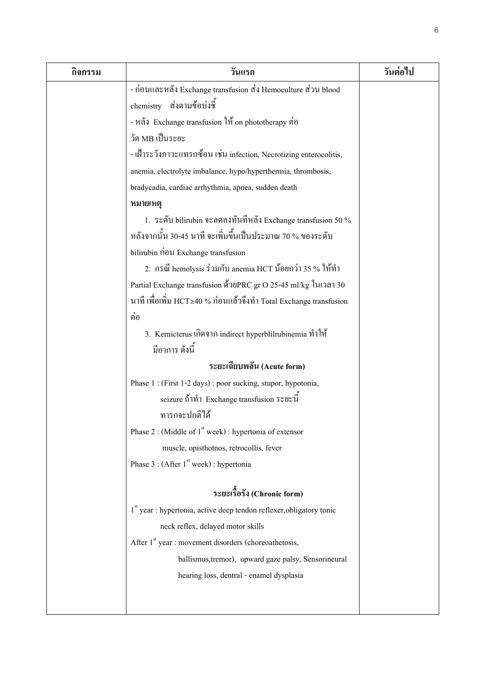| กิจกรรม | วันแรก                                                                 | วันต่อไป |
|---------|------------------------------------------------------------------------|----------|
|         | - ก่อนและหลัง Exchange transfusion ส่ง Hemoculture ส่วน blood          |          |
|         | chemistry ส่งตามข้อบ่งชี้                                              |          |
|         | - หลัง Exchange transfusion ให้ on phototherapy ต่อ                    |          |
|         | วัด MB เป็นระยะ                                                        |          |
|         | - เฝ้าระวังภาวะแทรกซ้อน เช่น infection, Necrotizing enterocolitis,     |          |
|         | anemia, electrolyte imbalance, hypo/hyperthermia, thrombosis,          |          |
|         | bradycadia, cardiac arrhythmia, apnea, sudden death                    |          |
|         | หมายเหตุ                                                               |          |
|         | 1. ระดับ bilirubin จะลดลงทันทีหลัง Exchange transfusion 50 %           |          |
|         | หลังจากนั้น 30-45 นาที จะเพิ่มขึ้นเป็นประมาณ 70 % ของระดับ             |          |
|         | bilirubin nou Exchange transfusion                                     |          |
|         | 2. กรณี hemolysis ร่วมกับ anemia HCT น้อยกว่า 35 % ให้ทำ               |          |
|         | Partial Exchange transfusion ด้วยPRC gr O 25-45 ml/kg ในเวลา 30        |          |
|         | นาที เพื่อเพิ่ม HCT≥40 % ก่อนแล้วจึงทำ Total Exchange transfusion      |          |
|         | ต่อ                                                                    |          |
|         | 3. Kernicterus เกิดจาก indirect hyperblilrubinemia ทำให้               |          |
|         | มือาการ ดังนี้                                                         |          |
|         | ระยะเฉียบพลัน (Acute form)                                             |          |
|         | Phase 1 : (First 1-2 days) : poor sucking, stupor, hypotonia,          |          |
|         | seizure ถ้าทำ Exchange transfusion ระยะนี้                             |          |
|         | ทารกจะปกติได้                                                          |          |
|         | Phase 2 : (Middle of $1st$ week) : hypertonia of extensor              |          |
|         | muscle, opisthotnos, retrocollis, fever                                |          |
|         | Phase 3 : (After $1st$ week) : hypertonia                              |          |
|         |                                                                        |          |
|         | ระยะเรื้อรัง (Chronic form)                                            |          |
|         | $1st$ year : hypertonia, active deep tendon reflexer, obligatory tonic |          |
|         | neck reflex, delayed motor skills                                      |          |
|         | After 1 <sup>st</sup> year : movement disorders (choreoathetosis,      |          |
|         | ballismus, tremor), upward gaze palsy, Sensorineural                   |          |
|         | hearing loss, dentral - enamel dysplasia                               |          |
|         |                                                                        |          |
|         |                                                                        |          |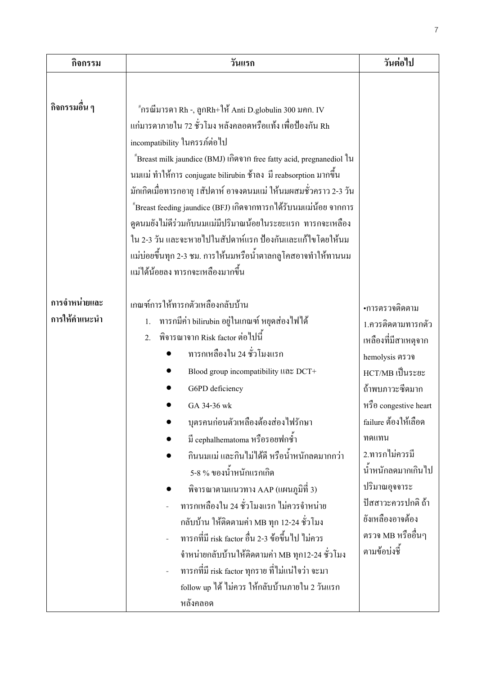| กิจกรรม                        | วันแรก                                                                                                                                                                                                                                                                                                                                                                                                                                                                                                                                                                                                                                                                                                                                                                | วันต่อไป                                                                                                                                                                                                                                                                                                               |
|--------------------------------|-----------------------------------------------------------------------------------------------------------------------------------------------------------------------------------------------------------------------------------------------------------------------------------------------------------------------------------------------------------------------------------------------------------------------------------------------------------------------------------------------------------------------------------------------------------------------------------------------------------------------------------------------------------------------------------------------------------------------------------------------------------------------|------------------------------------------------------------------------------------------------------------------------------------------------------------------------------------------------------------------------------------------------------------------------------------------------------------------------|
| กิจกรรมอื่น ๆ                  | $^{\text{\tiny\#}}$ กรณีมารดา Rh -, ถูกRh+ให้ Anti D.globulin 300 มกก. IV<br>แก่มารดาภายใน 72 ชั่วโมง หลังคลอดหรือแท้ง เพื่อป้องกัน Rh<br>incompatibility ในครรภ์ต่อไป<br>"Breast milk jaundice (BMJ) เกิดจาก free fatty acid, pregnanediol ใน<br>นมแม่ ทำให้การ conjugate bilirubin ช้าลง มี reabsorption มากขึ้น<br>มักเกิดเมื่อทารกอายุ 1สัปดาห์ อาจงคนมแม่ ให้นมผสมชั่วคราว 2-3 วัน<br>$^{\text{\tiny\#}}$ Breast feeding jaundice (BFJ) เกิดจากทารกได้รับนมแม่น้อย จากการ<br>ดูคนมยังไม่คีร่วมกับนมแม่มีปริมาณน้อยในระยะแรก ทารกจะเหลือง<br>ใน 2-3 วัน และจะหายไปในสัปดาห์แรก ป้องกันและแก้ไขโดยให้นม<br>แม่บ่อยขึ้นทุก 2-3 ชม. การให้นมหรือน้ำตาลกลูโคสอาจทำให้ทานนม<br>แม่ได้น้อยลง ทารกจะเหลืองมากขึ้น                                                        |                                                                                                                                                                                                                                                                                                                        |
| การจำหน่ายและ<br>การให้คำแนะนำ | เกณฑ์การให้ทารกตัวเหลืองกลับบ้าน<br>ิทารกมีค่า bilirubin อยู่ในเกณฑ์ หยุดส่องไฟได้<br>1.<br>พิจารณาจาก Risk factor ต่อไปนี้<br>$\overline{2}$ .<br>ทารกเหลืองใน 24 ชั่วโมงแรก<br>Blood group incompatibility llas DCT+<br>G6PD deficiency<br>GA 34-36 wk<br>บุตรคนก่อนตัวเหลืองต้องส่องไฟรักษา<br>มี cephalhematoma หรือรอยฟกชำ<br>้กินนมแม่ และกินไม่ได้ดี หรือน้ำหนักลดมากกว่า<br>5-8 % ของน้ำหนักแรกเกิด<br>พิจารณาตามแนวทาง AAP (แผนภูมิที่ 3)<br>ทารกเหลืองใน 24 ชั่วโมงแรก ไม่ควรจำหน่าย<br>ึกลับบ้าน ให้ติดตามก่า MB ทุก 12-24 ชั่วโมง<br>ทารกที่มี risk factor อื่น 2-3 ข้อขึ้นไป ไม่ควร<br>จำหน่ายกลับบ้านให้ติดตามก่า MB ทุก12-24 ชั่วโมง<br>ทารกที่มี risk factor ทุกราย ที่ไม่แน่ใจว่า จะมา<br>follow up ได้ ไม่ควร ให้กลับบ้านภายใน 2 วันแรก<br>หลังคลอด | •การตรวจติดตาม<br>1.ควรติดตามทารกตัว<br>เหลืองที่มีสาเหตุจาก<br>hemolysis ตรวจ<br>HCT/MB เป็นระยะ<br>ถ้าพบภาวะซีคมาก<br>หรือ congestive heart<br>failure ต้องให้เลือด<br>ทดแทน<br>2.ทารกไม่ควรมี<br>น้ำหนักลดมากเกินไป<br>ปริมาณอุจจาระ<br>ปัสสาวะควรปกติ ถ้า<br>ยังเหลืองอาจต้อง<br>ตรวจ MB หรืออื่นๆ<br>ตามข้อบ่งชี้ |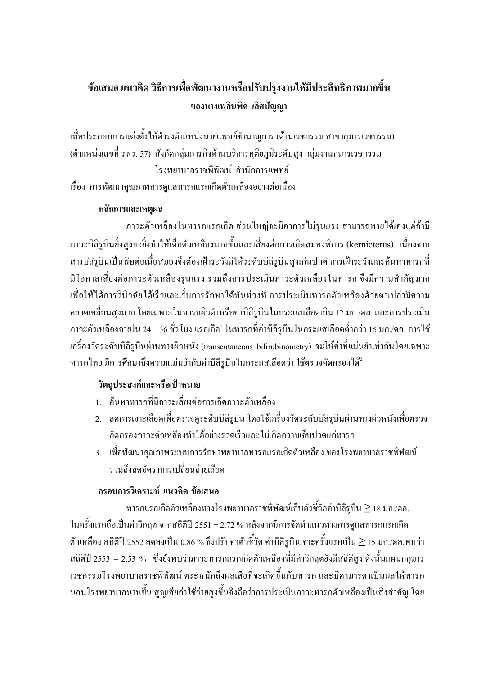# ข้อเสนอ แนวคิด วิธีการเพื่อพัฒนางานหรือปรับปรุงงานให้มีประสิทธิภาพมากขึ้น ี ของนางเพลินพิศ เลิศปัญญา

-พื่อประกอบการแต่งตั้งให้ดำรงตำแหน่งนายแพทย์ชำนาญการ (ด้านเวชกรรม สาขากุมารเวชกรรม)  $\,$ (ตำแหน่งเลขที่ รพร. 57) สังกัดกลุ่มภารกิจค้านบริการทุติยภูมิระดับสูง กลุ่มงานกุมารเวชกรรม โรงพยาบาลราชพิพัฒน์ สำนักการแพทย์ -รื่อง การพัฒนาคุณภาพการดูแลทารกแรกเกิดตัวเหลืองอย่างต่อเนื่อง

### $n$ ลักการและเหตุผล

ภาวะตัวเหลืองในทารกแรกเกิด ส่วนใหญ่จะมีอาการใม่รุนแรง สามารถหายได้เองแต่ถ้ามี ภาวะบิลิรูบินขิ่งสูงจะขิ่งทำให้เด็กตัวเหลืองมากขึ้นและเสี่ยงต่อการเกิดสมองพิการ (kernicterus) เนื่องจาก สารบิลิรูบินเป็นพิษต่อเนื้อสมองจึงต้องเฝ้าระวังมิให้ระดับบิลิรูบินสูงเกินปกติ การเฝ้าระวังและก้นหาทารกที่ มีโอกาสเสี่ยงต่อภาวะตัวเหลืองรุนแรง รวมถึงการประเมินภาวะตัวเหลืองในทารก จึงมีความสำคัญมาก -พื่อให้ได้การวินิจฉัยได้เร็วและเริ่มการรักษาได้ทันท่วงที การประเมินทารกตัวเหลืองด้วยตาเปล่ามีความ กลาคเกลื่อนสูงมาก โคยเฉพาะในทารกผิวคำหรือค่าบิลิรูบินในกระแสเลือคเกิน 12 มก./คล. และการประเมิน ภาวะตัวเหลืองภายใน 24 – 36 ชั่วโมง แรกเกิด<sup>เ</sup> ในทารกที่ค่าบิลิรูบินในกระแสเลือดต่ำกว่า 15 มก./ดล. การใช้ -ครื่องวัคระดับบิลิรูบินผ่านทางผิวหนัง (transcutaneous bilirubinometry) จะให้ค่าที่แม่นยำเท่ากันโดยเฉพาะ ทารกใทย มีการศึกษาถึงความแม่นยำกับค่าบิลิรูบินในกระแสเลือคว่า ใช้ตรวจคัดกรองใด้<sup>2</sup>

## วัตถุประสงค์และหรือเป้าหมาย

- 1. ค้นหาทารกที่มีภาวะเสี่ยงต่อการเกิดภาวะตัวเหลือง
- 2. ถดการเจาะเลือดเพื่อตรวจดูระดับบิลิรูบิน โดยใช้เครื่องวัดระดับบิลิรูบินผ่านทางผิวหนังเพื่อตรวจ คัคกรองภาวะตัวเหลืองทำใด้อย่างรวดเร็วและ ไม่เกิดความเจ็บปวดแก่ทารก
- 3. เพื่อพัฒนาคุณภาพระบบการรักษาพยาบาลทารกแรกเกิดตัวเหลือง ของโรงพยาบาลราชพิพัฒน์ รวมถึงลดอัตราการเปลี่ยนถ่ายเลือด

### กรอบการวิเคราะห์ แนวคิด ข้อเสนอ

ทารกแรกเกิดตัวเหลืองทางโรงพยาบาลราชพิพัฒน์เกีบตัวชี้วัดค่าบิลิรูบิน $\ge$  18 มก./ดล. ในครั้งแรกถือเป็นค่าวิกฤต จากสถิติปี 2551 = 2.72 % หลังจากมีการจัดทำแนวทางการดูแลทารกแรกเกิด ตัวเหลือง สถิติปี 2552 ลดลงเป็น 0.86 % จึงปรับค่าตัวชี้วัด ค่าบิลิรูบินเจาะครั้งแรกเป็น  $\geq$  15 มก./ดล.พบว่า สถิติปี 2553 = 2.53 % ซึ่งยังพบว่าภาวะทารกแรกเกิดตัวเหลืองที่มีค่าวิกฤตยังมีสถิติสูง ดังนั้นแผนกกุมาร -วชกรรมโรงพยาบาลราชพิพัฒน์ ตระหนักถึงผลเสียที่จะเกิดขึ้นกับทารก และบิดามารดาเป็นผลให้ทารก นอนโรงพยาบาลนานขึ้น สูญเสียค่าใช้จ่ายสูงขึ้นจึงถือว่าการประเมินภาวะทารกตัวเหลืองเป็นสิ่งสำคัญ โดย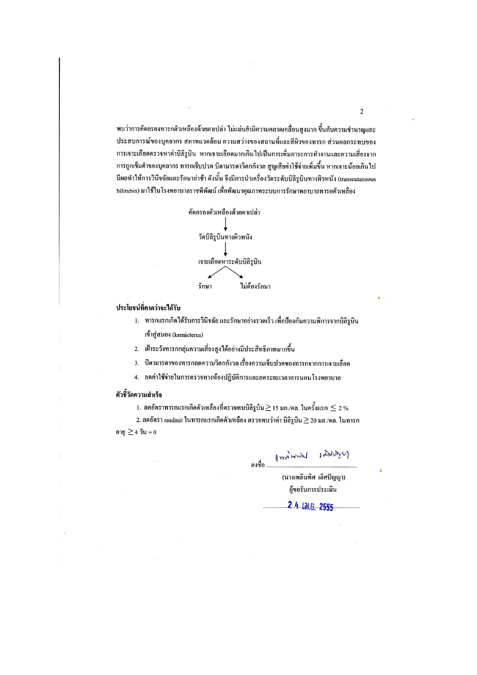พบว่าการคัดกรองทารกตัวเหลืองด้วยตาเปล่า ไม่แม่นยำมีความคลาดเกลื่อนสูงมาก ขึ้นกับความชำนาญและ ประสบการณ์ของบุคลากร สภาพแวคล้อม ความสว่างของสถานที่และสีผิวของทารก ส่วนผลกระทบของ การเจาะเลือดตรวจหาค่าบิลิรูบิน หากเจาะเลือดมากเกินไปเป็นการเพิ่มภาระการทำงานและความเสี่ยงจาก การถูกเข็มตำของบุคลากร ทารกเจ็บปวด บิดามารดาวิตกกังวล สูญเสียค่าใช้จ่ายเพิ่มขึ้น หากเจาะน้อยเกินไป มีผลทำให้การวินิจฉัยและรักษาล่าช้า ดังนั้น จึงมีการนำเครื่องวัดระดับบิลิรูบินทางผิวหนัง (transcutaneous bilirubin) มาใช้ในโรงพยาบาลราชพิพัฒน์ เพื่อพัฒนาคุณภาพระบบการรักษาพยาบาลทารกตัวเหลือง



#### ประโยชน์ที่คาดว่าจะได้รับ

- 1. ทารกแรกเกิดใด้รับการวินิจฉัย และรักษาอย่างรวดเร็ว เพื่อป้องกันความพิการจากบิลิรบิน เข้าสู่สมอง (kernicterus)
- 2. เฝ้าระวังทารกกลุ่มความเสี่ยงสูงได้อย่างมีประสิทธิภาพมากขึ้น
- 3. บิดามารดาของทารกลดความวิตกกังวล เรื่องความเจ็บปวดของทารกจากการเจาะเลือด
- 4. ลดค่าใช้จ่ายในการตรวจทางห้องปฏิบัติการและลดระยะเวลาการนอนโรงพยาบาล

#### ตัวชี้วัดความสำเร็จ

1. ลดอัตราทารกแรกเกิดตัวเหลืองที่ตรวจพบบิลิรูบิน $\geq$  15 มก./คล. ในครั้งแรก  $\leq$  2 %

2. ลดอัตรา readmit ในทารกแรกเกิดตัวเหลือง ตรวจพบว่าค่า บิลิรูบิน $\geq$  20 มล./คล. ในทารก อายุ  $\geq$  4 วัน = 0

Miller Lording

(นางเพลินพิศ เลิศปัญญา) ผู้ขอรับการประเมิน

2 4 12 8 2555

 $\overline{2}$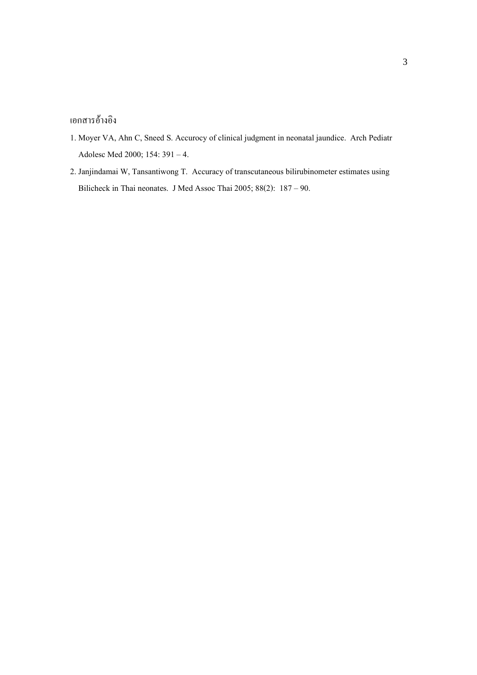#### เอกสารอ้างอิง

- 1. Moyer VA, Ahn C, Sneed S. Accurocy of clinical judgment in neonatal jaundice. Arch Pediatr Adolesc Med 2000; 154: 391 - 4.
- 2. Janjindamai W, Tansantiwong T. Accuracy of transcutaneous bilirubinometer estimates using Bilicheck in Thai neonates. J Med Assoc Thai 2005; 88(2): 187 - 90.